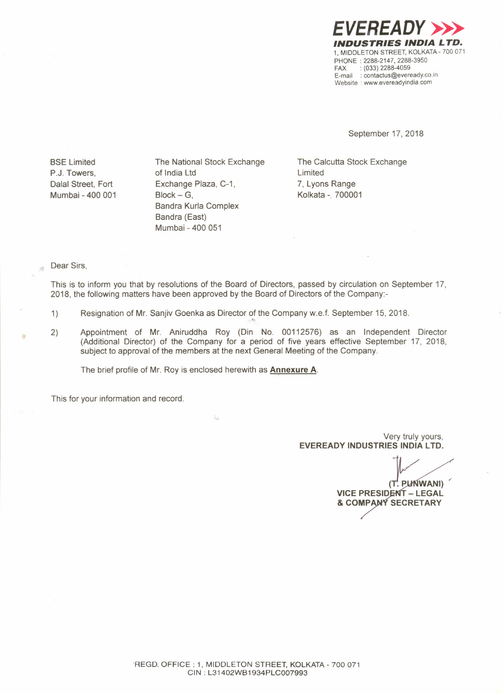

September 17, 2018

BSE Limited P.J. Towers, Dalal Street, Fort Mumbai - 400 001 The National Stock Exchange of India Ltd Exchange Plaza, C-1,  $Block - G$ . Bandra Kurla Complex Bandra (East) Mumbai - 400 051

The Calcutta Stock Exchange Limited 7, Lyons Range Kolkata -. 700001

## Dear Sirs,

Ä

This is to inform you that by resolutions of the Board of Directors, passed by circulation on September 17, 2018, the following matters have been approved by the Board of Directors of the Company:-

- 1) Resignation of Mr. Sanjiv Goenka as Director of the Company w.e.f. September 15, 2018
- 2) Appointment of Mr. Aniruddha Roy (Din No. 00112576) as an Independent Director (Additional Director) of the Company for a period of five years effective September 17, 2018, subject to approval of the members at the next General Meeting of the Company.

The brief profile of Mr. Roy is enclosed herewith as **Annexure** A.

This for your information and record.

Very truly yours, **EVEREADY INDUSTRIES INDIA LTD.**

(T. PLINWANI) **VICE PRESIDENT - LEGAL & COMP SECRETARY**